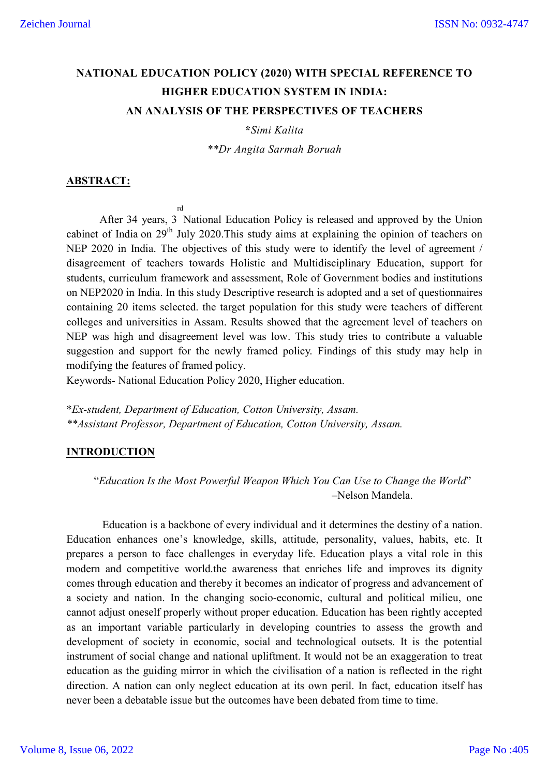# **NATIONAL EDUCATION POLICY (2020) WITH SPECIAL REFERENCE TO HIGHER EDUCATION SYSTEM IN INDIA: AN ANALYSIS OF THE PERSPECTIVES OF TEACHERS**

**\****Simi Kalita*

*\*\*Dr Angita Sarmah Boruah*

#### **ABSTRACT:**

After 34 years, 3 National Education Policy is released and approved by the Union rd cabinet of India on 29<sup>th</sup> July 2020. This study aims at explaining the opinion of teachers on NEP 2020 in India. The objectives of this study were to identify the level of agreement / disagreement of teachers towards Holistic and Multidisciplinary Education, support for students, curriculum framework and assessment, Role of Government bodies and institutions on NEP2020 in India. In this study Descriptive research is adopted and a set of questionnaires containing 20 items selected. the target population for this study were teachers of different colleges and universities in Assam. Results showed that the agreement level of teachers on NEP was high and disagreement level was low. This study tries to contribute a valuable suggestion and support for the newly framed policy. Findings of this study may help in modifying the features of framed policy.

Keywords- National Education Policy 2020, Higher education.

\**Ex-student, Department of Education, Cotton University, Assam. \*\*Assistant Professor, Department of Education, Cotton University, Assam.*

#### **INTRODUCTION**

 "*Education Is the Most Powerful Weapon Which You Can Use to Change the World*" –Nelson Mandela.

Education is a backbone of every individual and it determines the destiny of a nation. Education enhances one's knowledge, skills, attitude, personality, values, habits, etc. It prepares a person to face challenges in everyday life. Education plays a vital role in this modern and competitive world.the awareness that enriches life and improves its dignity comes through education and thereby it becomes an indicator of progress and advancement of a society and nation. In the changing socio-economic, cultural and political milieu, one cannot adjust oneself properly without proper education. Education has been rightly accepted as an important variable particularly in developing countries to assess the growth and development of society in economic, social and technological outsets. It is the potential instrument of social change and national upliftment. It would not be an exaggeration to treat education as the guiding mirror in which the civilisation of a nation is reflected in the right direction. A nation can only neglect education at its own peril. In fact, education itself has never been a debatable issue but the outcomes have been debated from time to time.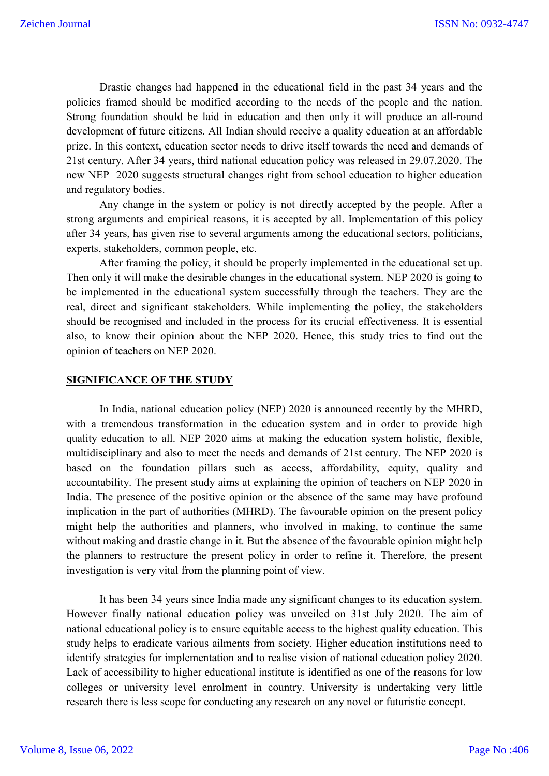Drastic changes had happened in the educational field in the past 34 years and the policies framed should be modified according to the needs of the people and the nation. Strong foundation should be laid in education and then only it will produce an all-round development of future citizens. All Indian should receive a quality education at an affordable prize. In this context, education sector needs to drive itself towards the need and demands of 21st century. After 34 years, third national education policy was released in 29.07.2020. The new NEP 2020 suggests structural changes right from school education to higher education and regulatory bodies.

Any change in the system or policy is not directly accepted by the people. After a strong arguments and empirical reasons, it is accepted by all. Implementation of this policy after 34 years, has given rise to several arguments among the educational sectors, politicians, experts, stakeholders, common people, etc.

After framing the policy, it should be properly implemented in the educational set up. Then only it will make the desirable changes in the educational system. NEP 2020 is going to be implemented in the educational system successfully through the teachers. They are the real, direct and significant stakeholders. While implementing the policy, the stakeholders should be recognised and included in the process for its crucial effectiveness. It is essential also, to know their opinion about the NEP 2020. Hence, this study tries to find out the opinion of teachers on NEP 2020.

#### **SIGNIFICANCE OF THE STUDY**

In India, national education policy (NEP) 2020 is announced recently by the MHRD, with a tremendous transformation in the education system and in order to provide high quality education to all. NEP 2020 aims at making the education system holistic, flexible, multidisciplinary and also to meet the needs and demands of 21st century. The NEP 2020 is based on the foundation pillars such as access, affordability, equity, quality and accountability. The present study aims at explaining the opinion of teachers on NEP 2020 in India. The presence of the positive opinion or the absence of the same may have profound implication in the part of authorities (MHRD). The favourable opinion on the present policy might help the authorities and planners, who involved in making, to continue the same without making and drastic change in it. But the absence of the favourable opinion might help the planners to restructure the present policy in order to refine it. Therefore, the present investigation is very vital from the planning point of view.

It has been 34 years since India made any significant changes to its education system. However finally national education policy was unveiled on 31st July 2020. The aim of national educational policy is to ensure equitable access to the highest quality education. This study helps to eradicate various ailments from society. Higher education institutions need to identify strategies for implementation and to realise vision of national education policy 2020. Lack of accessibility to higher educational institute is identified as one of the reasons for low colleges or university level enrolment in country. University is undertaking very little research there is less scope for conducting any research on any novel or futuristic concept.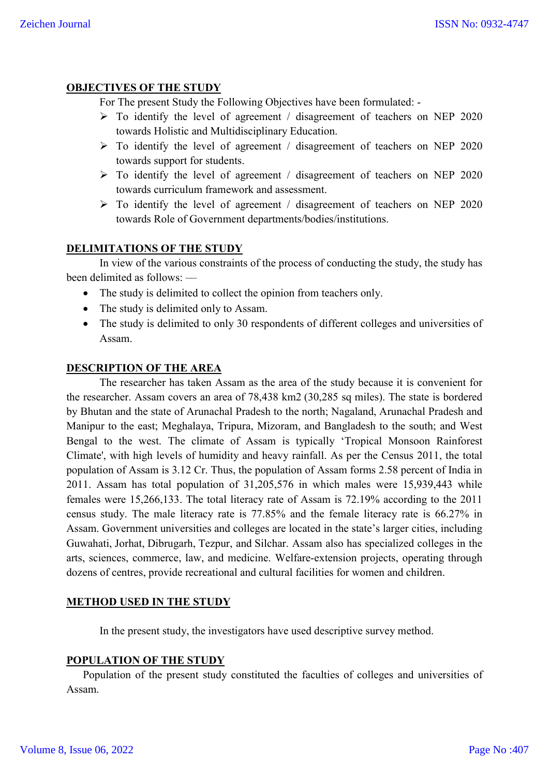# **OBJECTIVES OF THE STUDY**

For The present Study the Following Objectives have been formulated: -

- $\triangleright$  To identify the level of agreement / disagreement of teachers on NEP 2020 towards Holistic and Multidisciplinary Education.
- $\triangleright$  To identify the level of agreement / disagreement of teachers on NEP 2020 towards support for students.
- $\triangleright$  To identify the level of agreement / disagreement of teachers on NEP 2020 towards curriculum framework and assessment.
- $\triangleright$  To identify the level of agreement / disagreement of teachers on NEP 2020 towards Role of Government departments/bodies/institutions.

# **DELIMITATIONS OF THE STUDY**

In view of the various constraints of the process of conducting the study, the study has been delimited as follows: —

- The study is delimited to collect the opinion from teachers only.
- The study is delimited only to Assam.
- The study is delimited to only 30 respondents of different colleges and universities of Assam.

#### **DESCRIPTION OF THE AREA**

The researcher has taken Assam as the area of the study because it is convenient for the researcher. Assam covers an area of 78,438 km2 (30,285 sq miles). The state is bordered by Bhutan and the state of Arunachal Pradesh to the north; Nagaland, Arunachal Pradesh and Manipur to the east; Meghalaya, Tripura, Mizoram, and Bangladesh to the south; and West Bengal to the west. The climate of Assam is typically 'Tropical Monsoon Rainforest Climate', with high levels of humidity and heavy rainfall. As per the Census 2011, the total population of Assam is 3.12 Cr. Thus, the population of Assam forms 2.58 percent of India in 2011. Assam has total population of 31,205,576 in which males were 15,939,443 while females were 15,266,133. The total literacy rate of Assam is 72.19% according to the 2011 census study. The male literacy rate is 77.85% and the female literacy rate is 66.27% in Assam. Government universities and colleges are located in the state's larger cities, including Guwahati, Jorhat, Dibrugarh, Tezpur, and Silchar. Assam also has specialized colleges in the arts, sciences, commerce, law, and medicine. Welfare-extension projects, operating through dozens of centres, provide recreational and cultural facilities for women and children.

#### **METHOD USED IN THE STUDY**

In the present study, the investigators have used descriptive survey method.

# **POPULATION OF THE STUDY**

Population of the present study constituted the faculties of colleges and universities of Assam.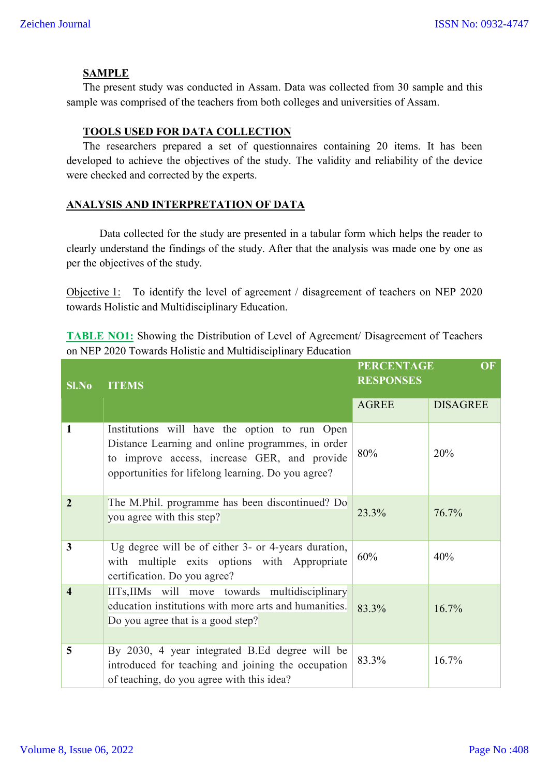#### **SAMPLE**

The present study was conducted in Assam. Data was collected from 30 sample and this sample was comprised of the teachers from both colleges and universities of Assam.

#### **TOOLS USED FOR DATA COLLECTION**

The researchers prepared a set of questionnaires containing 20 items. It has been developed to achieve the objectives of the study. The validity and reliability of the device were checked and corrected by the experts.

# **ANALYSIS AND INTERPRETATION OF DATA**

Data collected for the study are presented in a tabular form which helps the reader to clearly understand the findings of the study. After that the analysis was made one by one as per the objectives of the study.

Objective 1: To identify the level of agreement / disagreement of teachers on NEP 2020 towards Holistic and Multidisciplinary Education.

**TABLE NO1:** Showing the Distribution of Level of Agreement/ Disagreement of Teachers on NEP 2020 Towards Holistic and Multidisciplinary Education

| Sl.No                   | <b>ITEMS</b>                                                                                                                                                                                             | <b>PERCENTAGE</b><br>OF<br><b>RESPONSES</b> |                 |
|-------------------------|----------------------------------------------------------------------------------------------------------------------------------------------------------------------------------------------------------|---------------------------------------------|-----------------|
|                         |                                                                                                                                                                                                          | <b>AGREE</b>                                | <b>DISAGREE</b> |
| 1                       | Institutions will have the option to run Open<br>Distance Learning and online programmes, in order<br>to improve access, increase GER, and provide<br>opportunities for lifelong learning. Do you agree? | 80%                                         | 20%             |
| $\overline{2}$          | The M.Phil. programme has been discontinued? Do<br>you agree with this step?                                                                                                                             | 23.3%                                       | 76.7%           |
| 3                       | Ug degree will be of either 3- or 4-years duration,<br>with multiple exits options with Appropriate<br>certification. Do you agree?                                                                      | 60%                                         | 40%             |
| $\overline{\mathbf{4}}$ | IITs, IIMs will move towards multidisciplinary<br>education institutions with more arts and humanities.<br>Do you agree that is a good step?                                                             | 83.3%                                       | 16.7%           |
| 5                       | By 2030, 4 year integrated B.Ed degree will be<br>introduced for teaching and joining the occupation<br>of teaching, do you agree with this idea?                                                        | 83.3%                                       | 16.7%           |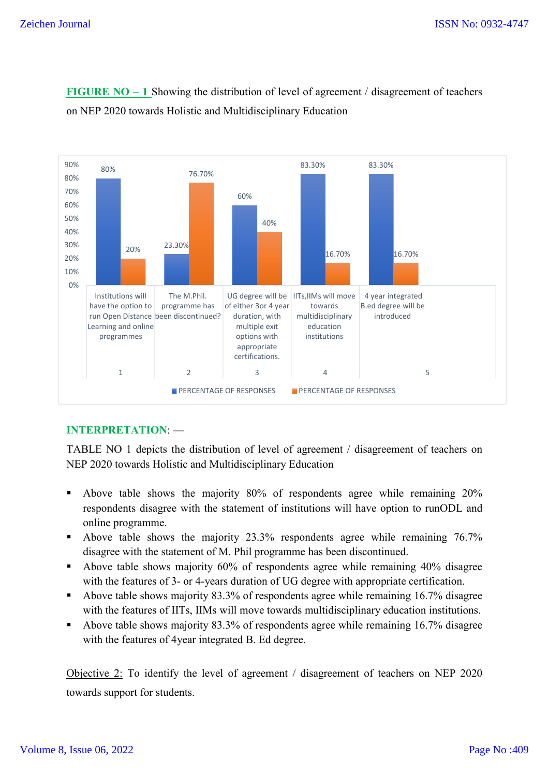

**FIGURE NO – 1** Showing the distribution of level of agreement / disagreement of teachers on NEP 2020 towards Holistic and Multidisciplinary Education

# **INTERPRETATION**: —

TABLE NO 1 depicts the distribution of level of agreement / disagreement of teachers on NEP 2020 towards Holistic and Multidisciplinary Education

- Above table shows the majority 80% of respondents agree while remaining 20% respondents disagree with the statement of institutions will have option to runODL and online programme.
- Above table shows the majority 23.3% respondents agree while remaining 76.7% disagree with the statement of M. Phil programme has been discontinued.
- Above table shows majority 60% of respondents agree while remaining 40% disagree with the features of 3- or 4-years duration of UG degree with appropriate certification.
- Above table shows majority 83.3% of respondents agree while remaining 16.7% disagree with the features of IITs, IIMs will move towards multidisciplinary education institutions.
- Above table shows majority 83.3% of respondents agree while remaining 16.7% disagree with the features of 4year integrated B. Ed degree.

Objective 2: To identify the level of agreement / disagreement of teachers on NEP 2020 towards support for students.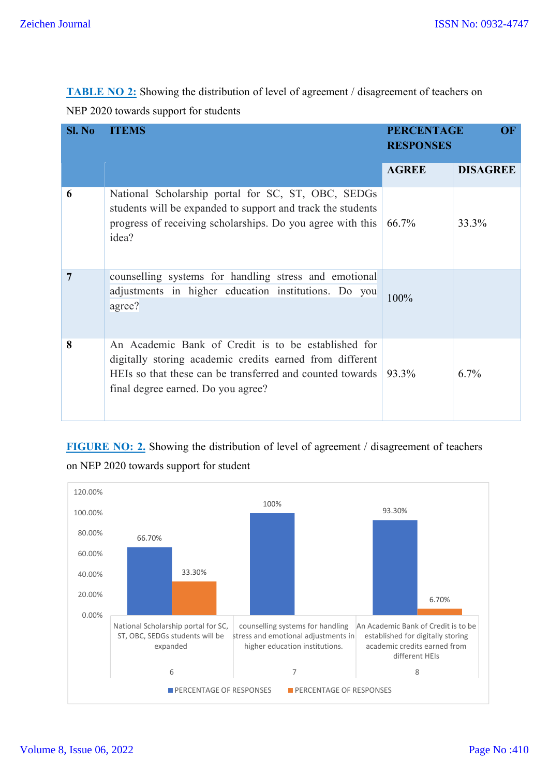**TABLE NO 2:** Showing the distribution of level of agreement / disagreement of teachers on NEP 2020 towards support for students

| SI. No | <b>ITEMS</b>                                                                                                                                                                                                       | <b>PERCENTAGE</b><br><b>RESPONSES</b> | OF              |  |
|--------|--------------------------------------------------------------------------------------------------------------------------------------------------------------------------------------------------------------------|---------------------------------------|-----------------|--|
|        |                                                                                                                                                                                                                    | <b>AGREE</b>                          | <b>DISAGREE</b> |  |
| 6      | National Scholarship portal for SC, ST, OBC, SEDGs<br>students will be expanded to support and track the students<br>progress of receiving scholarships. Do you agree with this<br>idea?                           | 66.7%                                 | 33.3%           |  |
| 7      | counselling systems for handling stress and emotional<br>adjustments in higher education institutions. Do you<br>agree?                                                                                            | 100%                                  |                 |  |
| 8      | An Academic Bank of Credit is to be established for<br>digitally storing academic credits earned from different<br>HEIs so that these can be transferred and counted towards<br>final degree earned. Do you agree? | 93.3%                                 | 6.7%            |  |

**FIGURE NO: 2.** Showing the distribution of level of agreement / disagreement of teachers on NEP 2020 towards support for student

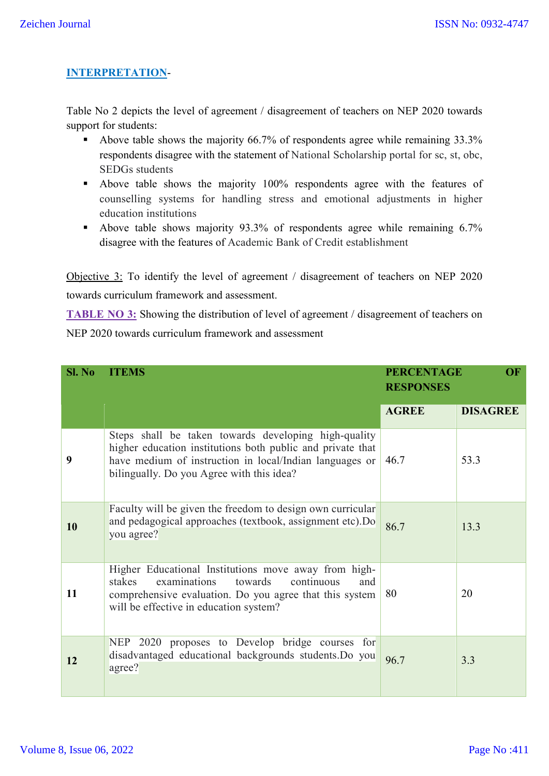# **INTERPRETATION**-

Table No 2 depicts the level of agreement / disagreement of teachers on NEP 2020 towards support for students:

- Above table shows the majority 66.7% of respondents agree while remaining 33.3% respondents disagree with the statement of National Scholarship portal for sc, st, obc, SEDGs students
- Above table shows the majority 100% respondents agree with the features of counselling systems for handling stress and emotional adjustments in higher education institutions
- Above table shows majority 93.3% of respondents agree while remaining 6.7% disagree with the features of Academic Bank of Credit establishment

Objective 3: To identify the level of agreement / disagreement of teachers on NEP 2020 towards curriculum framework and assessment.

**TABLE NO 3:** Showing the distribution of level of agreement / disagreement of teachers on NEP 2020 towards curriculum framework and assessment

| Sl. No | <b>ITEMS</b>                                                                                                                                                                                                               | <b>PERCENTAGE</b><br>OF<br><b>RESPONSES</b> |                 |
|--------|----------------------------------------------------------------------------------------------------------------------------------------------------------------------------------------------------------------------------|---------------------------------------------|-----------------|
|        |                                                                                                                                                                                                                            | <b>AGREE</b>                                | <b>DISAGREE</b> |
| 9      | Steps shall be taken towards developing high-quality<br>higher education institutions both public and private that<br>have medium of instruction in local/Indian languages or<br>bilingually. Do you Agree with this idea? | 46.7                                        | 53.3            |
| 10     | Faculty will be given the freedom to design own curricular<br>and pedagogical approaches (textbook, assignment etc).Do<br>you agree?                                                                                       | 86.7                                        | 13.3            |
| 11     | Higher Educational Institutions move away from high-<br>stakes<br>examinations<br>towards<br>continuous<br>and<br>comprehensive evaluation. Do you agree that this system<br>will be effective in education system?        | 80                                          | 20              |
| 12     | NEP 2020 proposes to Develop bridge courses for<br>disadvantaged educational backgrounds students.Do you<br>agree?                                                                                                         | 96.7                                        | 3.3             |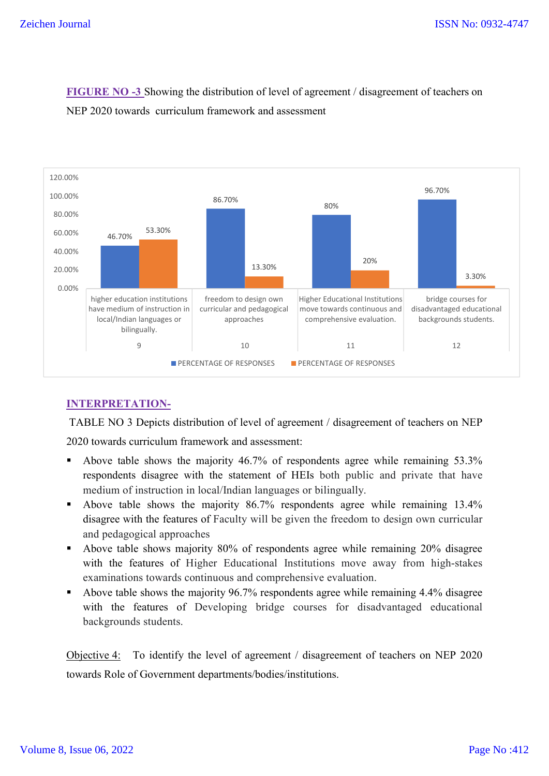

**FIGURE NO -3** Showing the distribution of level of agreement / disagreement of teachers on NEP 2020 towards curriculum framework and assessment

# **INTERPRETATION-**

TABLE NO 3 Depicts distribution of level of agreement / disagreement of teachers on NEP 2020 towards curriculum framework and assessment:

- Above table shows the majority 46.7% of respondents agree while remaining 53.3% respondents disagree with the statement of HEIs both public and private that have medium of instruction in local/Indian languages or bilingually.
- Above table shows the majority 86.7% respondents agree while remaining 13.4% disagree with the features of Faculty will be given the freedom to design own curricular and pedagogical approaches
- Above table shows majority 80% of respondents agree while remaining 20% disagree with the features of Higher Educational Institutions move away from high-stakes examinations towards continuous and comprehensive evaluation.
- Above table shows the majority 96.7% respondents agree while remaining 4.4% disagree with the features of Developing bridge courses for disadvantaged educational backgrounds students.

Objective 4: To identify the level of agreement / disagreement of teachers on NEP 2020 towards Role of Government departments/bodies/institutions.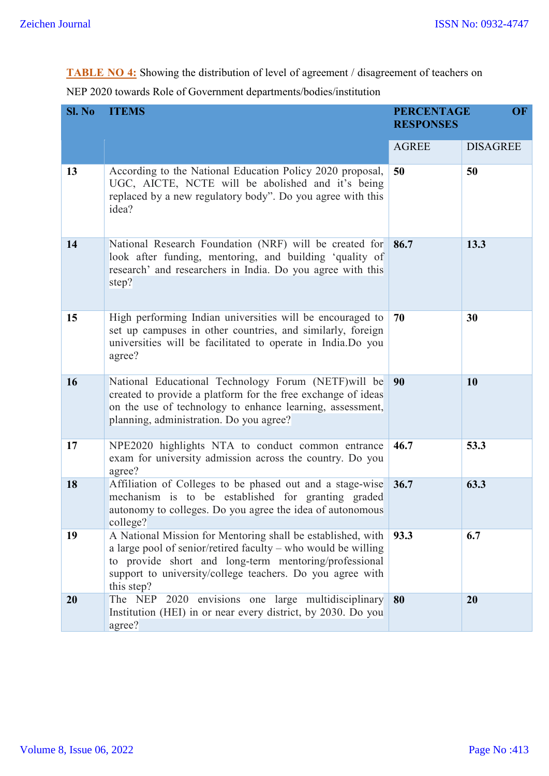**TABLE NO 4:** Showing the distribution of level of agreement / disagreement of teachers on

| Sl. No | <b>ITEMS</b>                                                                                                                                                                                                                                                     | <b>PERCENTAGE</b><br><b>OF</b><br><b>RESPONSES</b> |                 |
|--------|------------------------------------------------------------------------------------------------------------------------------------------------------------------------------------------------------------------------------------------------------------------|----------------------------------------------------|-----------------|
|        |                                                                                                                                                                                                                                                                  | <b>AGREE</b>                                       | <b>DISAGREE</b> |
| 13     | According to the National Education Policy 2020 proposal,<br>UGC, AICTE, NCTE will be abolished and it's being<br>replaced by a new regulatory body". Do you agree with this<br>idea?                                                                            | 50                                                 | 50              |
| 14     | National Research Foundation (NRF) will be created for<br>look after funding, mentoring, and building 'quality of<br>research' and researchers in India. Do you agree with this<br>step?                                                                         | 86.7                                               | 13.3            |
| 15     | High performing Indian universities will be encouraged to<br>set up campuses in other countries, and similarly, foreign<br>universities will be facilitated to operate in India.Do you<br>agree?                                                                 | 70                                                 | 30              |
| 16     | National Educational Technology Forum (NETF) will be<br>created to provide a platform for the free exchange of ideas<br>on the use of technology to enhance learning, assessment,<br>planning, administration. Do you agree?                                     | 90                                                 | 10              |
| 17     | NPE2020 highlights NTA to conduct common entrance<br>exam for university admission across the country. Do you<br>agree?                                                                                                                                          | 46.7                                               | 53.3            |
| 18     | Affiliation of Colleges to be phased out and a stage-wise<br>mechanism is to be established for granting graded<br>autonomy to colleges. Do you agree the idea of autonomous<br>college?                                                                         | 36.7                                               | 63.3            |
| 19     | A National Mission for Mentoring shall be established, with<br>a large pool of senior/retired faculty - who would be willing<br>to provide short and long-term mentoring/professional<br>support to university/college teachers. Do you agree with<br>this step? | 93.3                                               | 6.7             |
| 20     | 2020 envisions one large multidisciplinary<br>The NEP<br>Institution (HEI) in or near every district, by 2030. Do you<br>agree?                                                                                                                                  | 80                                                 | 20              |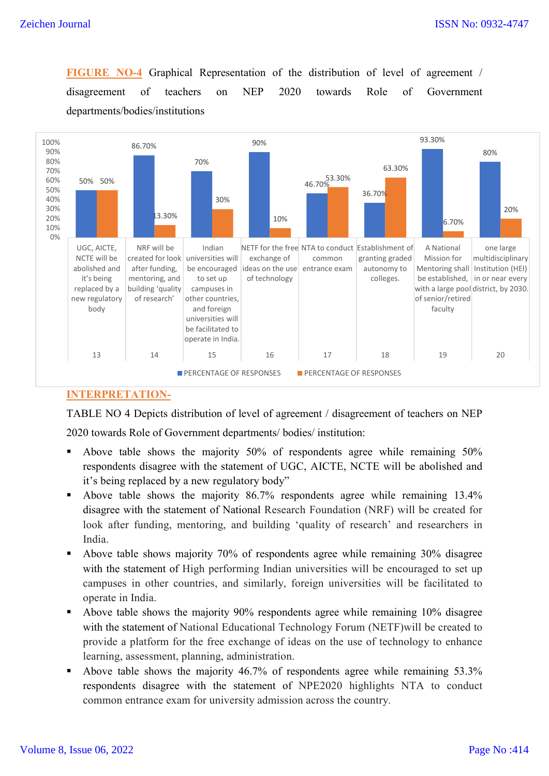**FIGURE NO-4** Graphical Representation of the distribution of level of agreement / disagreement of teachers on NEP 2020 towards Role of Government departments/bodies/institutions



#### **INTERPRETATION-**

TABLE NO 4 Depicts distribution of level of agreement / disagreement of teachers on NEP 2020 towards Role of Government departments/ bodies/ institution:

- Above table shows the majority 50% of respondents agree while remaining 50% respondents disagree with the statement of UGC, AICTE, NCTE will be abolished and it's being replaced by a new regulatory body"
- Above table shows the majority 86.7% respondents agree while remaining 13.4% disagree with the statement of National Research Foundation (NRF) will be created for look after funding, mentoring, and building 'quality of research' and researchers in India.
- Above table shows majority 70% of respondents agree while remaining 30% disagree with the statement of High performing Indian universities will be encouraged to set up campuses in other countries, and similarly, foreign universities will be facilitated to operate in India.
- Above table shows the majority 90% respondents agree while remaining 10% disagree with the statement of National Educational Technology Forum (NETF)will be created to provide a platform for the free exchange of ideas on the use of technology to enhance learning, assessment, planning, administration.
- Above table shows the majority 46.7% of respondents agree while remaining 53.3% respondents disagree with the statement of NPE2020 highlights NTA to conduct common entrance exam for university admission across the country.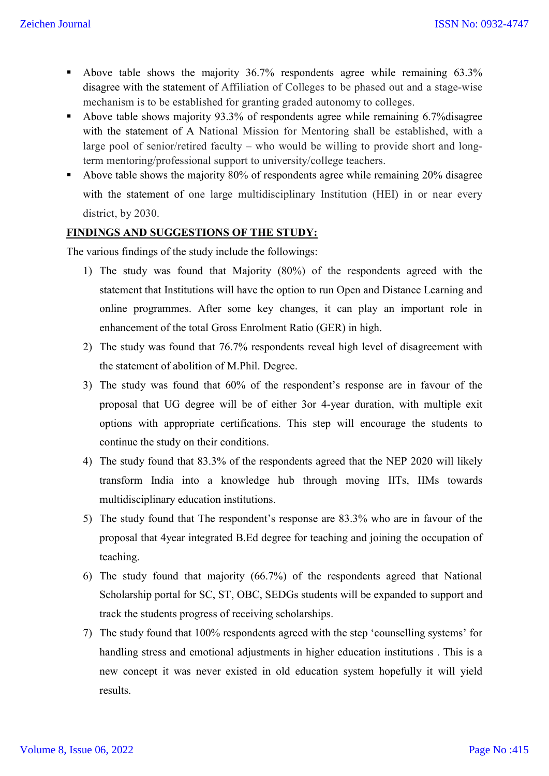- Above table shows the majority 36.7% respondents agree while remaining 63.3% disagree with the statement of Affiliation of Colleges to be phased out and a stage-wise mechanism is to be established for granting graded autonomy to colleges.
- Above table shows majority 93.3% of respondents agree while remaining 6.7% disagree with the statement of A National Mission for Mentoring shall be established, with a large pool of senior/retired faculty – who would be willing to provide short and longterm mentoring/professional support to university/college teachers.
- Above table shows the majority 80% of respondents agree while remaining 20% disagree with the statement of one large multidisciplinary Institution (HEI) in or near every district, by 2030.

#### **FINDINGS AND SUGGESTIONS OF THE STUDY:**

The various findings of the study include the followings:

- 1) The study was found that Majority (80%) of the respondents agreed with the statement that Institutions will have the option to run Open and Distance Learning and online programmes. After some key changes, it can play an important role in enhancement of the total Gross Enrolment Ratio (GER) in high.
- 2) The study was found that 76.7% respondents reveal high level of disagreement with the statement of abolition of M.Phil. Degree.
- 3) The study was found that 60% of the respondent's response are in favour of the proposal that UG degree will be of either 3or 4-year duration, with multiple exit options with appropriate certifications. This step will encourage the students to continue the study on their conditions.
- 4) The study found that 83.3% of the respondents agreed that the NEP 2020 will likely transform India into a knowledge hub through moving IITs, IIMs towards multidisciplinary education institutions.
- 5) The study found that The respondent's response are 83.3% who are in favour of the proposal that 4year integrated B.Ed degree for teaching and joining the occupation of teaching.
- 6) The study found that majority (66.7%) of the respondents agreed that National Scholarship portal for SC, ST, OBC, SEDGs students will be expanded to support and track the students progress of receiving scholarships.
- 7) The study found that 100% respondents agreed with the step 'counselling systems' for handling stress and emotional adjustments in higher education institutions . This is a new concept it was never existed in old education system hopefully it will yield results.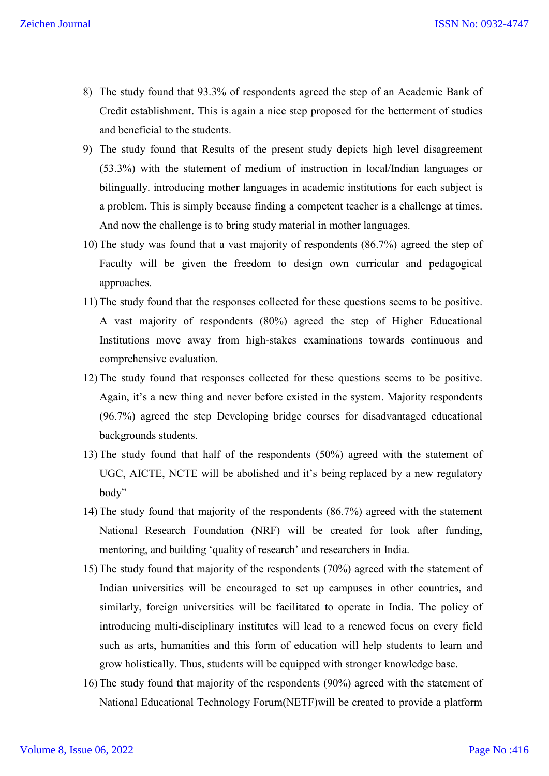- 8) The study found that 93.3% of respondents agreed the step of an Academic Bank of Credit establishment. This is again a nice step proposed for the betterment of studies and beneficial to the students.
- 9) The study found that Results of the present study depicts high level disagreement (53.3%) with the statement of medium of instruction in local/Indian languages or bilingually. introducing mother languages in academic institutions for each subject is a problem. This is simply because finding a competent teacher is a challenge at times. And now the challenge is to bring study material in mother languages.
- 10) The study was found that a vast majority of respondents (86.7%) agreed the step of Faculty will be given the freedom to design own curricular and pedagogical approaches.
- 11) The study found that the responses collected for these questions seems to be positive. A vast majority of respondents (80%) agreed the step of Higher Educational Institutions move away from high-stakes examinations towards continuous and comprehensive evaluation.
- 12) The study found that responses collected for these questions seems to be positive. Again, it's a new thing and never before existed in the system. Majority respondents (96.7%) agreed the step Developing bridge courses for disadvantaged educational backgrounds students.
- 13) The study found that half of the respondents (50%) agreed with the statement of UGC, AICTE, NCTE will be abolished and it's being replaced by a new regulatory body"
- 14) The study found that majority of the respondents (86.7%) agreed with the statement National Research Foundation (NRF) will be created for look after funding, mentoring, and building 'quality of research' and researchers in India.
- 15) The study found that majority of the respondents (70%) agreed with the statement of Indian universities will be encouraged to set up campuses in other countries, and similarly, foreign universities will be facilitated to operate in India. The policy of introducing multi-disciplinary institutes will lead to a renewed focus on every field such as arts, humanities and this form of education will help students to learn and grow holistically. Thus, students will be equipped with stronger knowledge base.
- 16) The study found that majority of the respondents (90%) agreed with the statement of National Educational Technology Forum(NETF)will be created to provide a platform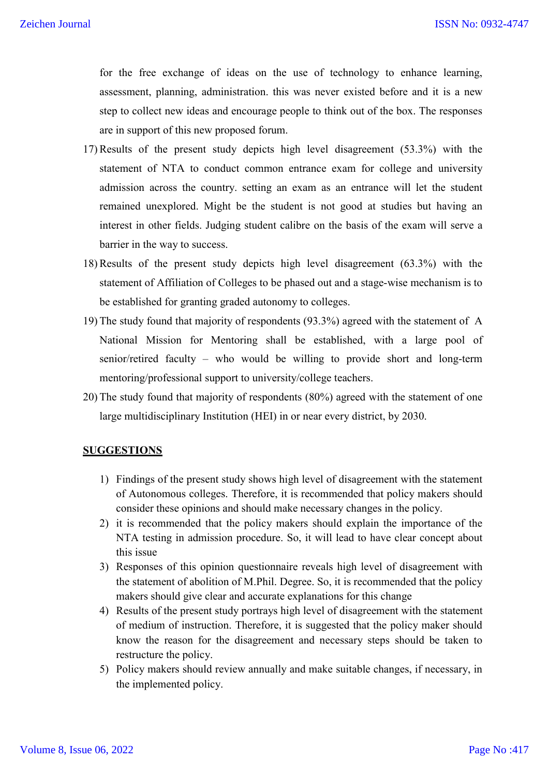for the free exchange of ideas on the use of technology to enhance learning, assessment, planning, administration. this was never existed before and it is a new step to collect new ideas and encourage people to think out of the box. The responses are in support of this new proposed forum.

- 17) Results of the present study depicts high level disagreement (53.3%) with the statement of NTA to conduct common entrance exam for college and university admission across the country. setting an exam as an entrance will let the student remained unexplored. Might be the student is not good at studies but having an interest in other fields. Judging student calibre on the basis of the exam will serve a barrier in the way to success.
- 18) Results of the present study depicts high level disagreement (63.3%) with the statement of Affiliation of Colleges to be phased out and a stage-wise mechanism is to be established for granting graded autonomy to colleges.
- 19) The study found that majority of respondents (93.3%) agreed with the statement of A National Mission for Mentoring shall be established, with a large pool of senior/retired faculty – who would be willing to provide short and long-term mentoring/professional support to university/college teachers.
- 20) The study found that majority of respondents (80%) agreed with the statement of one large multidisciplinary Institution (HEI) in or near every district, by 2030.

#### **SUGGESTIONS**

- 1) Findings of the present study shows high level of disagreement with the statement of Autonomous colleges. Therefore, it is recommended that policy makers should consider these opinions and should make necessary changes in the policy.
- 2) it is recommended that the policy makers should explain the importance of the NTA testing in admission procedure. So, it will lead to have clear concept about this issue
- 3) Responses of this opinion questionnaire reveals high level of disagreement with the statement of abolition of M.Phil. Degree. So, it is recommended that the policy makers should give clear and accurate explanations for this change
- 4) Results of the present study portrays high level of disagreement with the statement of medium of instruction. Therefore, it is suggested that the policy maker should know the reason for the disagreement and necessary steps should be taken to restructure the policy.
- 5) Policy makers should review annually and make suitable changes, if necessary, in the implemented policy.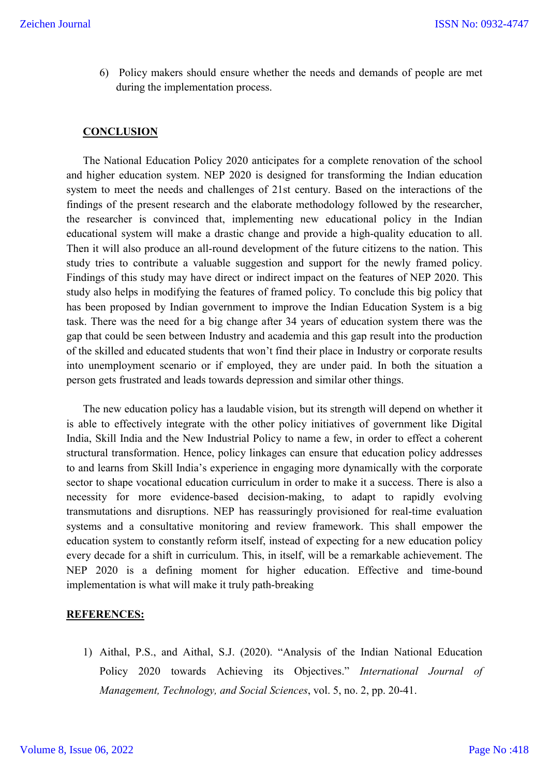6) Policy makers should ensure whether the needs and demands of people are met during the implementation process.

#### **CONCLUSION**

The National Education Policy 2020 anticipates for a complete renovation of the school and higher education system. NEP 2020 is designed for transforming the Indian education system to meet the needs and challenges of 21st century. Based on the interactions of the findings of the present research and the elaborate methodology followed by the researcher, the researcher is convinced that, implementing new educational policy in the Indian educational system will make a drastic change and provide a high-quality education to all. Then it will also produce an all-round development of the future citizens to the nation. This study tries to contribute a valuable suggestion and support for the newly framed policy. Findings of this study may have direct or indirect impact on the features of NEP 2020. This study also helps in modifying the features of framed policy. To conclude this big policy that has been proposed by Indian government to improve the Indian Education System is a big task. There was the need for a big change after 34 years of education system there was the gap that could be seen between Industry and academia and this gap result into the production of the skilled and educated students that won't find their place in Industry or corporate results into unemployment scenario or if employed, they are under paid. In both the situation a person gets frustrated and leads towards depression and similar other things.

The new education policy has a laudable vision, but its strength will depend on whether it is able to effectively integrate with the other policy initiatives of government like Digital India, Skill India and the New Industrial Policy to name a few, in order to effect a coherent structural transformation. Hence, policy linkages can ensure that education policy addresses to and learns from Skill India's experience in engaging more dynamically with the corporate sector to shape vocational education curriculum in order to make it a success. There is also a necessity for more evidence-based decision-making, to adapt to rapidly evolving transmutations and disruptions. NEP has reassuringly provisioned for real-time evaluation systems and a consultative monitoring and review framework. This shall empower the education system to constantly reform itself, instead of expecting for a new education policy every decade for a shift in curriculum. This, in itself, will be a remarkable achievement. The NEP 2020 is a defining moment for higher education. Effective and time-bound implementation is what will make it truly path-breaking

#### **REFERENCES:**

1) Aithal, P.S., and Aithal, S.J. (2020). "Analysis of the Indian National Education Policy 2020 towards Achieving its Objectives." *International Journal of Management, Technology, and Social Sciences*, vol. 5, no. 2, pp. 20-41.